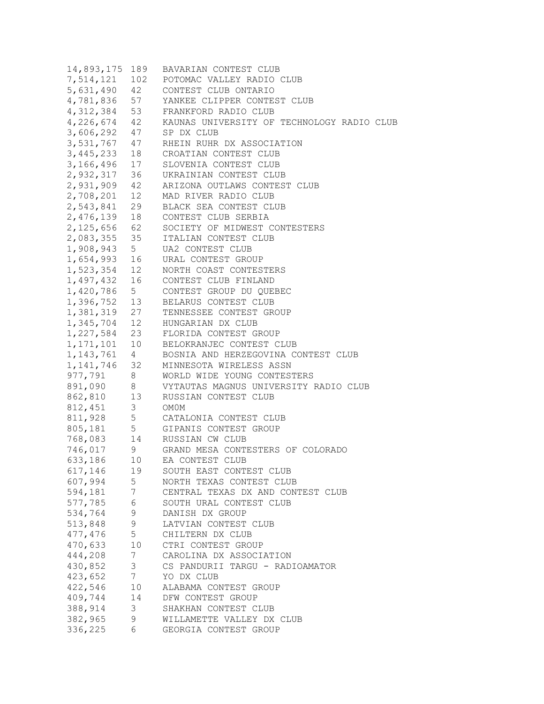| 14,893,175  | 189             | BAVARIAN CONTEST CLUB                      |
|-------------|-----------------|--------------------------------------------|
| 7,514,121   | 102             | POTOMAC VALLEY RADIO CLUB                  |
| 5,631,490   | 42              | CONTEST CLUB ONTARIO                       |
| 4,781,836   | 57              | YANKEE CLIPPER CONTEST CLUB                |
| 4, 312, 384 | 53              | FRANKFORD RADIO CLUB                       |
| 4,226,674   | 42              | KAUNAS UNIVERSITY OF TECHNOLOGY RADIO CLUB |
| 3,606,292   | 47              | SP DX CLUB                                 |
| 3,531,767   | 47              | RHEIN RUHR DX ASSOCIATION                  |
| 3, 445, 233 | 18              | CROATIAN CONTEST CLUB                      |
| 3,166,496   | 17              | SLOVENIA CONTEST CLUB                      |
| 2,932,317   | 36              | UKRAINIAN CONTEST CLUB                     |
| 2,931,909   | 42              | ARIZONA OUTLAWS CONTEST CLUB               |
| 2,708,201   | 12              | MAD RIVER RADIO CLUB                       |
| 2,543,841   | 29              | BLACK SEA CONTEST CLUB                     |
| 2,476,139   | 18              | CONTEST CLUB SERBIA                        |
| 2,125,656   | 62              | SOCIETY OF MIDWEST CONTESTERS              |
| 2,083,355   | 35              | ITALIAN CONTEST CLUB                       |
| 1,908,943   | 5 <sup>5</sup>  | UA2 CONTEST CLUB                           |
| 1,654,993   | 16              | URAL CONTEST GROUP                         |
| 1,523,354   | 12 <sup>°</sup> | NORTH COAST CONTESTERS                     |
| 1,497,432   | 16              | CONTEST CLUB FINLAND                       |
|             |                 | CONTEST GROUP DU QUEBEC                    |
| 1,420,786   | 5 <sub>5</sub>  |                                            |
| 1,396,752   | 13              | BELARUS CONTEST CLUB                       |
| 1,381,319   | 27              | TENNESSEE CONTEST GROUP                    |
| 1,345,704   | 12              | HUNGARIAN DX CLUB                          |
| 1,227,584   | 23              | FLORIDA CONTEST GROUP                      |
| 1, 171, 101 | 10              | BELOKRANJEC CONTEST CLUB                   |
| 1, 143, 761 | 4               | BOSNIA AND HERZEGOVINA CONTEST CLUB        |
| 1,141,746   | 32              | MINNESOTA WIRELESS ASSN                    |
| 977,791     | 8               | WORLD WIDE YOUNG CONTESTERS                |
| 891,090     | 8               | VYTAUTAS MAGNUS UNIVERSITY RADIO CLUB      |
| 862,810     | 13              | RUSSIAN CONTEST CLUB                       |
| 812, 451    | 3               | OM0M                                       |
| 811,928     | 5               | CATALONIA CONTEST CLUB                     |
| 805,181     | 5               | GIPANIS CONTEST GROUP                      |
| 768,083     | 14              | RUSSIAN CW CLUB                            |
| 746,017     | 9               | GRAND MESA CONTESTERS OF COLORADO          |
| 633,186     | 10              | EA CONTEST CLUB                            |
| 617,146     | 19              | SOUTH EAST CONTEST CLUB                    |
| 607,994     | 5 <sup>5</sup>  | NORTH TEXAS CONTEST CLUB                   |
| 594,181     | 7               | CENTRAL TEXAS DX AND CONTEST CLUB          |
| 577,785     | 6               | SOUTH URAL CONTEST CLUB                    |
| 534,764     | 9               | DANISH DX GROUP                            |
| 513,848     | 9               | LATVIAN CONTEST CLUB                       |
| 477,476     | 5               | CHILTERN DX CLUB                           |
| 470,633     | 10              | CTRI CONTEST GROUP                         |
| 444,208     | 7               | CAROLINA DX ASSOCIATION                    |
| 430,852     | 3               | CS PANDURII TARGU - RADIOAMATOR            |
| 423,652     | $7\phantom{.0}$ | YO DX CLUB                                 |
| 422,546     | 10              | ALABAMA CONTEST GROUP                      |
| 409,744     | 14              | DFW CONTEST GROUP                          |
| 388,914     | 3               | SHAKHAN CONTEST CLUB                       |
| 382,965     | 9               | WILLAMETTE VALLEY DX CLUB                  |
| 336,225     | 6               | GEORGIA CONTEST GROUP                      |